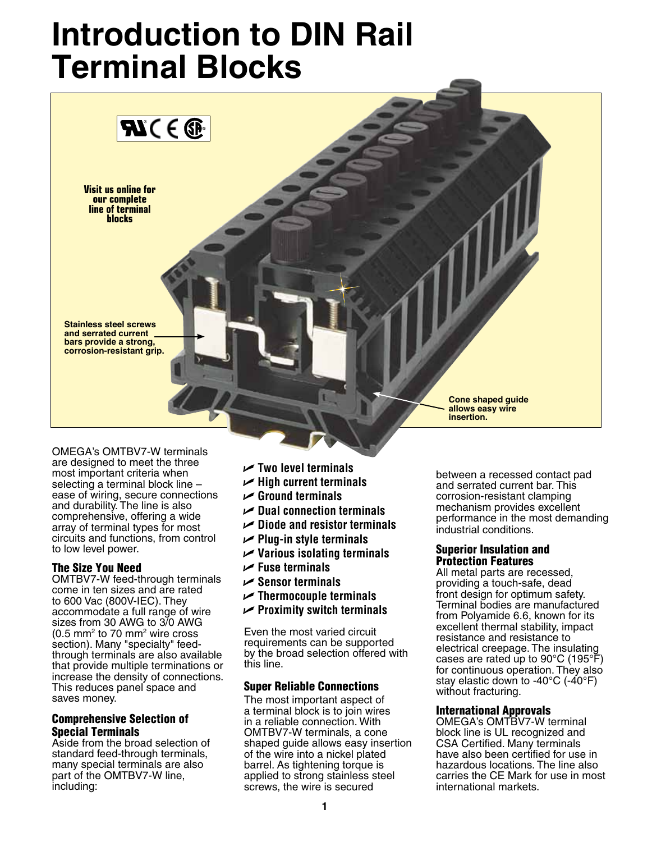# **Introduction to DIN Rail Terminal Blocks**



Omega's OMTBV7-W terminals are designed to meet the three most important criteria when selecting a terminal block line – ease of wiring, secure connections and durability. The line is also comprehensive, offering a wide array of terminal types for most circuits and functions, from control to low level power.

### The Size You Need

OMTBV7-W feed-through terminals come in ten sizes and are rated to 600 Vac (800V-IEC). They accommodate a full range of wire sizes from 30 AWG to 3/0 AWG  $(0.5 \text{ mm}^2 \text{ to } 70 \text{ mm}^2 \text{ wire cross})$ section). Many "specialty" feedthrough terminals are also available that provide multiple terminations or increase the density of connections. This reduces panel space and saves money.

### Comprehensive Selection of Special Terminals

Aside from the broad selection of standard feed-through terminals, many special terminals are also part of the OMTBV7-W line, including:

- U **Two level terminals**
- U **High current terminals**
- U **Ground terminals**
- U **Dual connection terminals**
- U **Diode and resistor terminals**
- U **Plug-in style terminals**
- U **Various isolating terminals**
- U **Fuse terminals**
- U **Sensor terminals**
- U **Thermocouple terminals**
- U **Proximity switch terminals**

Even the most varied circuit requirements can be supported by the broad selection offered with this line.

### Super Reliable Connections

The most important aspect of a terminal block is to join wires in a reliable connection. With OMTBV7-W terminals, a cone shaped guide allows easy insertion of the wire into a nickel plated barrel. As tightening torque is applied to strong stainless steel screws, the wire is secured

between a recessed contact pad and serrated current bar. This corrosion-resistant clamping mechanism provides excellent performance in the most demanding industrial conditions.

#### Superior Insulation and Protection Features

All metal parts are recessed, providing a touch-safe, dead front design for optimum safety. Terminal bodies are manufactured from Polyamide 6.6, known for its excellent thermal stability, impact resistance and resistance to electrical creepage. The insulating cases are rated up to 90°C (195°F) for continuous operation. They also stay elastic down to -40°C (-40°F) without fracturing.

### International Approvals

Omega's OMTBV7-W terminal block line is UL recognized and CSA Certified. Many terminals have also been certified for use in hazardous locations. The line also carries the CE Mark for use in most international markets.